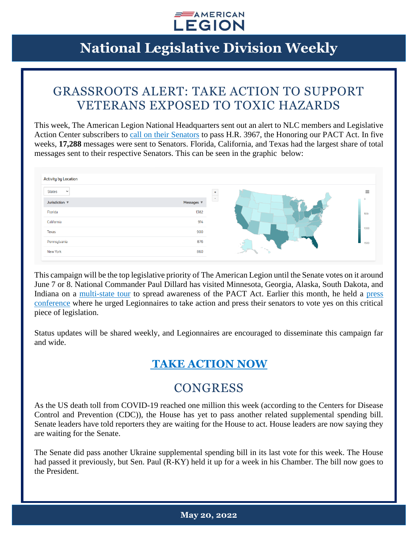

### GRASSROOTS ALERT: TAKE ACTION TO SUPPORT VETERANS EXPOSED TO TOXIC HAZARDS

This week, The American Legion National Headquarters sent out an alert to NLC members and Legislative Action Center subscribers to [call on their Senators](https://www.votervoice.net/AmericanLegion/Campaigns/87481/Respond) to pass H.R. 3967, the Honoring our PACT Act. In five weeks, **17,288** messages were sent to Senators. Florida, California, and Texas had the largest share of total messages sent to their respective Senators. This can be seen in the graphic below:

| <b>Activity by Location</b>          |                 |      |
|--------------------------------------|-----------------|------|
| <b>States</b><br>$\checkmark$        |                 |      |
| Jurisdiction $\overline{\mathbf{v}}$ | Messages $\Psi$ | ÷.   |
| Florida                              | 1382            |      |
| California                           | 914             |      |
| <b>Texas</b>                         | 900             |      |
| Pennsylvania                         | 876             |      |
| New York                             | 860             | $-0$ |

This campaign will be the top legislative priority of The American Legion until the Senate votes on it around June 7 or 8. National Commander Paul Dillard has visited Minnesota, Georgia, Alaska, South Dakota, and Indiana on a [multi-state tour](https://www.legion.org/commander/255550/dillard-pushes-senate-pact-act-during-national-tour) to spread awareness of the PACT Act. Earlier this month, he held a [press](https://www.legion.org/legiontv/PL048E5F43D9D11C0E/nfY4QyM1I50)  [conference](https://www.legion.org/legiontv/PL048E5F43D9D11C0E/nfY4QyM1I50) where he urged Legionnaires to take action and press their senators to vote yes on this critical piece of legislation.

Status updates will be shared weekly, and Legionnaires are encouraged to disseminate this campaign far and wide.

#### **[TAKE ACTION NOW](https://www.votervoice.net/AmericanLegion/Campaigns/87481/Respond)**

#### **CONGRESS**

As the US death toll from COVID-19 reached one million this week (according to the Centers for Disease Control and Prevention (CDC)), the House has yet to pass another related supplemental spending bill. Senate leaders have told reporters they are waiting for the House to act. House leaders are now saying they are waiting for the Senate.

The Senate did pass another Ukraine supplemental spending bill in its last vote for this week. The House had passed it previously, but Sen. Paul (R-KY) held it up for a week in his Chamber. The bill now goes to the President.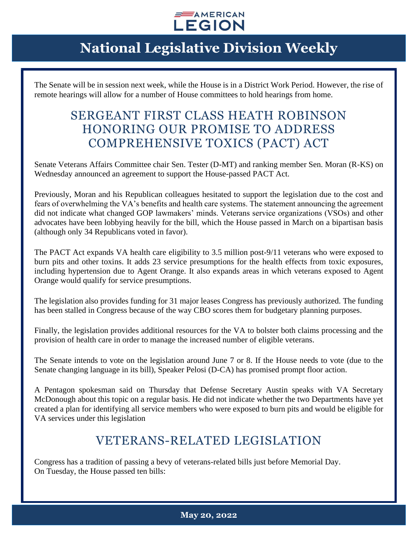

The Senate will be in session next week, while the House is in a District Work Period. However, the rise of remote hearings will allow for a number of House committees to hold hearings from home.

#### SERGEANT FIRST CLASS HEATH ROBINSON HONORING OUR PROMISE TO ADDRESS COMPREHENSIVE TOXICS (PACT) ACT

Senate Veterans Affairs Committee chair Sen. Tester (D-MT) and ranking member Sen. Moran (R-KS) on Wednesday announced an agreement to support the House-passed PACT Act.

Previously, Moran and his Republican colleagues hesitated to support the legislation due to the cost and fears of overwhelming the VA's benefits and health care systems. The statement announcing the agreement did not indicate what changed GOP lawmakers' minds. Veterans service organizations (VSOs) and other advocates have been lobbying heavily for the bill, which the House passed in March on a bipartisan basis (although only 34 Republicans voted in favor).

The PACT Act expands VA health care eligibility to 3.5 million post-9/11 veterans who were exposed to burn pits and other toxins. It adds 23 service presumptions for the health effects from toxic exposures, including hypertension due to Agent Orange. It also expands areas in which veterans exposed to Agent Orange would qualify for service presumptions.

The legislation also provides funding for 31 major leases Congress has previously authorized. The funding has been stalled in Congress because of the way CBO scores them for budgetary planning purposes.

Finally, the legislation provides additional resources for the VA to bolster both claims processing and the provision of health care in order to manage the increased number of eligible veterans.

The Senate intends to vote on the legislation around June 7 or 8. If the House needs to vote (due to the Senate changing language in its bill), Speaker Pelosi (D-CA) has promised prompt floor action.

A Pentagon spokesman said on Thursday that Defense Secretary Austin speaks with VA Secretary McDonough about this topic on a regular basis. He did not indicate whether the two Departments have yet created a plan for identifying all service members who were exposed to burn pits and would be eligible for VA services under this legislation

### VETERANS-RELATED LEGISLATION

Congress has a tradition of passing a bevy of veterans-related bills just before Memorial Day. On Tuesday, the House passed ten bills: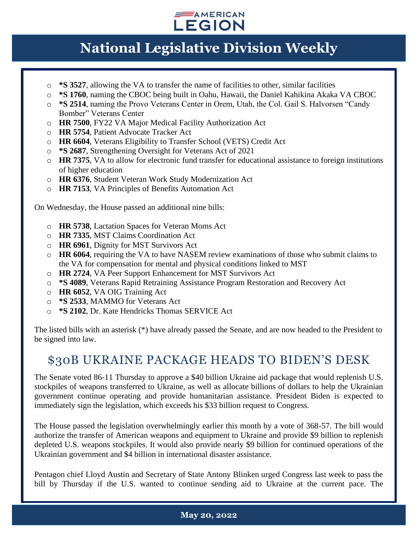

- o **\*S 3527**, allowing the VA to transfer the name of facilities to other, similar facilities
- o **\*S 1760**, naming the CBOC being built in Oahu, Hawaii, the Daniel Kahikina Akaka VA CBOC
- o **\*S 2514**, naming the Provo Veterans Center in Orem, Utah, the Col. Gail S. Halvorsen "Candy Bomber" Veterans Center
- o **HR 7500**, FY22 VA Major Medical Facility Authorization Act
- o **HR 5754**, Patient Advocate Tracker Act
- o **HR 6604**, Veterans Eligibility to Transfer School (VETS) Credit Act
- o **\*S 2687**, Strengthening Oversight for Veterans Act of 2021
- o **HR 7375**, VA to allow for electronic fund transfer for educational assistance to foreign institutions of higher education
- o **HR 6376**, Student Veteran Work Study Modernization Act
- o **HR 7153**, VA Principles of Benefits Automation Act

On Wednesday, the House passed an additional nine bills:

- o **HR 5738**, Lactation Spaces for Veteran Moms Act
- o **HR 7335**, MST Claims Coordination Act
- o **HR 6961**, Dignity for MST Survivors Act
- o **HR 6064**, requiring the VA to have NASEM review examinations of those who submit claims to the VA for compensation for mental and physical conditions linked to MST
- o **HR 2724**, VA Peer Support Enhancement for MST Survivors Act
- o **\*S 4089**, Veterans Rapid Retraining Assistance Program Restoration and Recovery Act
- o **HR 6052**, VA OIG Training Act
- o **\*S 2533**, MAMMO for Veterans Act
- o **\*S 2102**, Dr. Kate Hendricks Thomas SERVICE Act

The listed bills with an asterisk (\*) have already passed the Senate, and are now headed to the President to be signed into law.

#### \$30B UKRAINE PACKAGE HEADS TO BIDEN'S DESK

The Senate voted 86-11 Thursday to approve a \$40 billion Ukraine aid package that would replenish U.S. stockpiles of weapons transferred to Ukraine, as well as allocate billions of dollars to help the Ukrainian government continue operating and provide humanitarian assistance. President Biden is expected to immediately sign the legislation, which exceeds his \$33 billion request to Congress.

The House passed the legislation overwhelmingly earlier this month by a vote of 368-57. The bill would authorize the transfer of American weapons and equipment to Ukraine and provide \$9 billion to replenish depleted U.S. weapons stockpiles. It would also provide nearly \$9 billion for continued operations of the Ukrainian government and \$4 billion in international disaster assistance.

Pentagon chief Lloyd Austin and Secretary of State Antony Blinken urged Congress last week to pass the bill by Thursday if the U.S. wanted to continue sending aid to Ukraine at the current pace. The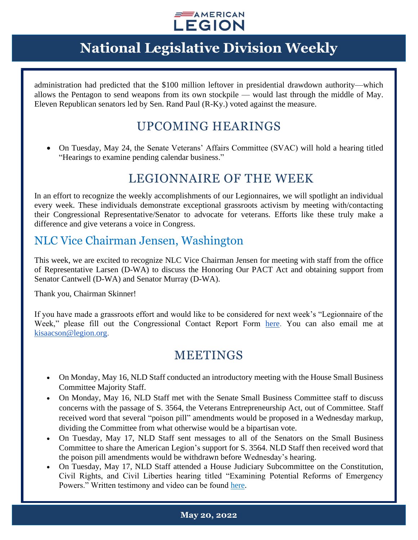

administration had predicted that the \$100 million leftover in presidential drawdown authority—which allows the Pentagon to send weapons from its own stockpile — would last through the middle of May. Eleven Republican senators led by Sen. Rand Paul (R-Ky.) voted against the measure.

### UPCOMING HEARINGS

• On Tuesday, May 24, the Senate Veterans' Affairs Committee (SVAC) will hold a hearing titled "Hearings to examine pending calendar business."

#### LEGIONNAIRE OF THE WEEK

In an effort to recognize the weekly accomplishments of our Legionnaires, we will spotlight an individual every week. These individuals demonstrate exceptional grassroots activism by meeting with/contacting their Congressional Representative/Senator to advocate for veterans. Efforts like these truly make a difference and give veterans a voice in Congress.

#### NLC Vice Chairman Jensen, Washington

This week, we are excited to recognize NLC Vice Chairman Jensen for meeting with staff from the office of Representative Larsen (D-WA) to discuss the Honoring Our PACT Act and obtaining support from Senator Cantwell (D-WA) and Senator Murray (D-WA).

Thank you, Chairman Skinner!

If you have made a grassroots effort and would like to be considered for next week's "Legionnaire of the Week," please fill out the Congressional Contact Report Form [here.](https://www.legion.org/legislative/aar) You can also email me at [kisaacson@legion.org.](mailto:kisaacson@legion.org)

#### MEETINGS

- On Monday, May 16, NLD Staff conducted an introductory meeting with the House Small Business Committee Majority Staff.
- On Monday, May 16, NLD Staff met with the Senate Small Business Committee staff to discuss concerns with the passage of S. 3564, the Veterans Entrepreneurship Act, out of Committee. Staff received word that several "poison pill" amendments would be proposed in a Wednesday markup, dividing the Committee from what otherwise would be a bipartisan vote.
- On Tuesday, May 17, NLD Staff sent messages to all of the Senators on the Small Business Committee to share the American Legion's support for S. 3564. NLD Staff then received word that the poison pill amendments would be withdrawn before Wednesday's hearing.
- On Tuesday, May 17, NLD Staff attended a House Judiciary Subcommittee on the Constitution, Civil Rights, and Civil Liberties hearing titled "Examining Potential Reforms of Emergency Powers." Written testimony and video can be found [here.](https://judiciary.house.gov/calendar/eventsingle.aspx?EventID=4929)